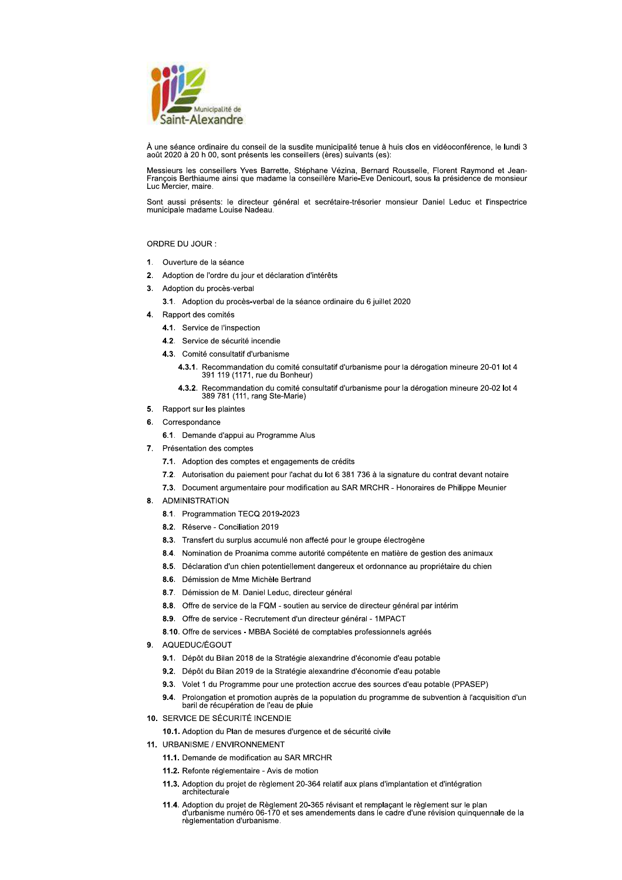

À une séance ordinaire du conseil de la susdite municipalité tenue à huis clos en vidéoconférence, le lundi 3 août 2020 à 20 h 00, sont présents les conseillers (ères) suivants (es):

Messieurs les conseillers Yves Barrette, Stéphane Vézina, Bernard Rousselle, Florent Raymond et Jean-François Berthiaume ainsi que madame la conseillère Marie-Eve Denicourt, sous la présidence de monsieur<br>Luc Mercier, maire.

Sont aussi présents: le directeur général et secrétaire-trésorier monsieur Daniel Leduc et l'inspectrice municipale madame Louise Nadeau.

## ORDRE DU JOUR :

- 1. Ouverture de la séance
- 2. Adoption de l'ordre du jour et déclaration d'intérêts
- 3. Adoption du procès-verbal
	- 3.1. Adoption du procès-verbal de la séance ordinaire du 6 juillet 2020
- 4. Rapport des comités
	- 4.1. Service de l'inspection
	- 4.2. Service de sécurité incendie
	- 4.3. Comité consultatif d'urbanisme
		- 4.3.1. Recommandation du comité consultatif d'urbanisme pour la dérogation mineure 20-01 lot 4 391 119 (1171, rue du Bonheur)
		- 4.3.2. Recommandation du comité consultatif d'urbanisme pour la dérogation mineure 20-02 lot 4 389 781 (111, rang Ste-Marie)
- 5. Rapport sur les plaintes
- 6. Correspondance
	- 6.1. Demande d'appui au Programme Alus
- 7. Présentation des comptes
	- 7.1. Adoption des comptes et engagements de crédits
	- 7.2. Autorisation du paiement pour l'achat du lot 6 381 736 à la signature du contrat devant notaire
	- 7.3. Document argumentaire pour modification au SAR MRCHR Honoraires de Philippe Meunier
- 8. ADMINISTRATION
	- 8.1. Programmation TECQ 2019-2023
	- 8.2. Réserve Conciliation 2019
	- 8.3. Transfert du surplus accumulé non affecté pour le groupe électrogène
	- 8.4. Nomination de Proanima comme autorité compétente en matière de gestion des animaux
	- 8.5. Déclaration d'un chien potentiellement dangereux et ordonnance au propriétaire du chien
	- 8.6. Démission de Mme Michèle Bertrand
	- 8.7. Démission de M. Daniel Leduc, directeur général
	- 8.8. Offre de service de la FQM soutien au service de directeur général par intérim
	- 8.9. Offre de service Recrutement d'un directeur général 1MPACT
	- 8.10. Offre de services MBBA Société de comptables professionnels agréés
- 9. AQUEDUC/ÉGOUT
	- 9.1. Dépôt du Bilan 2018 de la Stratégie alexandrine d'économie d'eau potable
	- 9.2. Dépôt du Bilan 2019 de la Stratégie alexandrine d'économie d'eau potable
	- 9.3. Volet 1 du Programme pour une protection accrue des sources d'eau potable (PPASEP)
	- 9.4. Prolongation et promotion auprès de la population du programme de subvention à l'acquisition d'un baril de récupération de l'eau de pluie
- 10. SERVICE DE SÉCURITÉ INCENDIE
	- 10.1. Adoption du Plan de mesures d'urgence et de sécurité civile
- 11. URBANISME / ENVIRONNEMENT
	- 11.1. Demande de modification au SAR MRCHR
	- 11.2. Refonte réglementaire Avis de motion
	- 11.3. Adoption du projet de règlement 20-364 relatif aux plans d'implantation et d'intégration architecturale
	- 11.4. Adoption du projet de Règlement 20-365 révisant et remplaçant le règlement sur le plan<br>d'urbanisme numéro 06-170 et ses amendements dans le cadre d'une révision quinquennale de la règlementation d'urbanisme.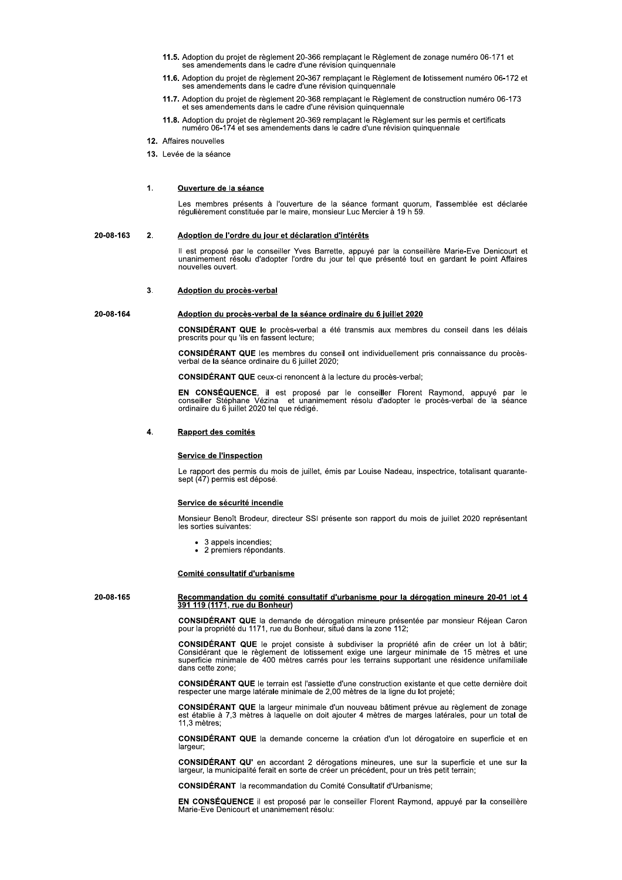- 11.5. Adoption du projet de règlement 20-366 remplacant le Règlement de zonage numéro 06-171 et ses amendements dans le cadre d'une révision quinquennale
- 11.6. Adoption du projet de règlement 20-367 remplaçant le Règlement de lotissement numéro 06-172 et ses amendements dans le cadre d'une révision quinquennale
- 11.7. Adoption du projet de règlement 20-368 remplaçant le Règlement de construction numéro 06-173 et ses amendements dans le cadre d'une révision quinquennale
- 11.8. Adoption du projet de règlement 20-369 remplaçant le Règlement sur les permis et certificats numéro 06-174 et ses amendements dans le cadre d'une révision quinquennale
- 12. Affaires nouvelles
- 13. Levée de la séance

### $\overline{1}$ Ouverture de la séance

Les membres présents à l'ouverture de la séance formant quorum, l'assemblée est déclarée régulièrement constituée par le maire, monsieur Luc Mercier à 19 h 59.

#### 20-08-163  $\overline{2}$ Adoption de l'ordre du jour et déclaration d'intérêts

Il est proposé par le conseiller Yves Barrette, appuyé par la conseillère Marie-Eve Denicourt et<br>unanimement résolu d'adopter l'ordre du jour tel que présenté tout en gardant le point Affaires nouvelles ouvert.

#### $\overline{3}$ Adoption du procès-verbal

## 20-08-164

CONSIDÉRANT QUE le procès-verbal a été transmis aux membres du conseil dans les délais prescrits pour qu'ils en fassent lecture;

CONSIDÉRANT QUE les membres du conseil ont individuellement pris connaissance du procès-<br>verbal de la séance ordinaire du 6 juillet 2020;

CONSIDÉRANT QUE ceux-ci renoncent à la lecture du procès-verbal;

Adoption du procès-verbal de la séance ordinaire du 6 juillet 2020

EN CONSÉQUENCE, il est proposé par le conseiller Florent Raymond, appuyé par le conseiller Stéphane Vézina et unanimement résolu d'adopter le procès-verbal de la séance ordinaire du 6 juillet 2020 tel que rédigé.

### $\overline{4}$ . Rapport des comités

## Service de l'inspection

Le rapport des permis du mois de juillet, émis par Louise Nadeau, inspectrice, totalisant quarante-sept (47) permis est déposé.

## Service de sécurité incendie

Monsieur Benoît Brodeur, directeur SSI présente son rapport du mois de juillet 2020 représentant les sorties suivantes

- 3 appels incendies;
- 2 premiers répondants.

## Comité consultatif d'urbanisme

20-08-165

# Recommandation du comité consultatif d'urbanisme pour la dérogation mineure 20-01 lot 4 391 119 (1171, rue du Bonheur)

CONSIDÉRANT QUE la demande de dérogation mineure présentée par monsieur Réjean Caron pour la propriété du 1171, rue du Bonheur, situé dans la zone 112;

CONSIDÉRANT QUE le projet consiste à subdiviser la propriété afin de créer un lot à bâtir;<br>Considérant que le règlement de lotissement exige une largeur minimale de 15 mètres et une<br>superficie minimale de 400 mètres carrés dans cette zone;

CONSIDÉRANT QUE le terrain est l'assiette d'une construction existante et que cette dernière doit respecter une marge latérale minimale de 2,00 mètres de la ligne du lot projeté;

CONSIDÉRANT QUE la largeur minimale d'un nouveau bâtiment prévue au règlement de zonage est établie à 7,3 mètres à laquelle on doit ajouter 4 mètres de marges latérales, pour un total de 11.3 mètres:

CONSIDÉRANT QUE la demande concerne la création d'un lot dérogatoire en superficie et en largeur:

CONSIDÉRANT QU' en accordant 2 dérogations mineures, une sur la superficie et une sur la largeur, la municipalité ferait en sorte de créer un précédent, pour un très petit terrain;

**CONSIDÉRANT** la recommandation du Comité Consultatif d'Urbanisme;

EN CONSÉQUENCE il est proposé par le conseiller Florent Raymond, appuyé par la conseillère Marie-Eve Denicourt et unanimement résolu: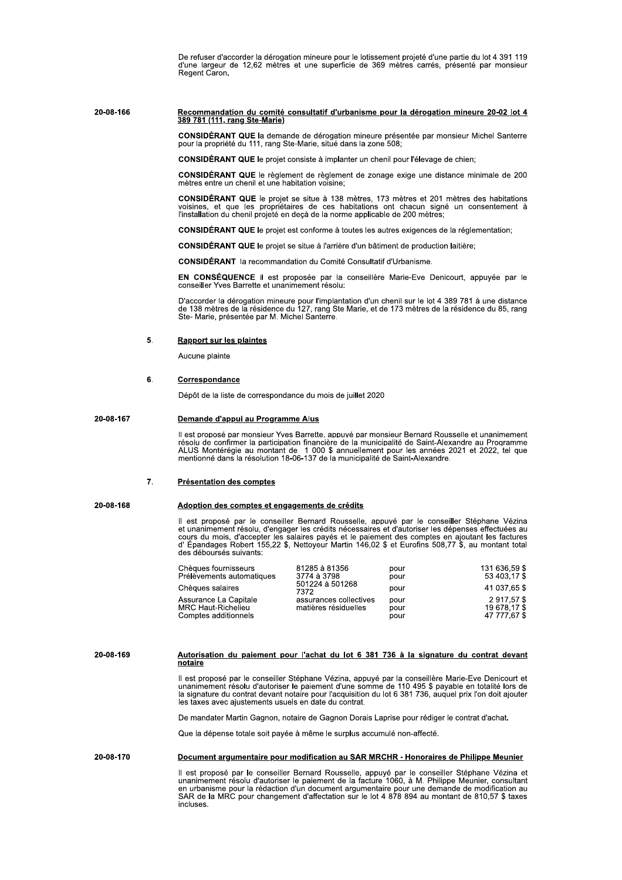De refuser d'accorder la dérogation mineure pour le lotissement projeté d'une partie du lot 4 391 119 d'une largeur de 12,62 mètres et une superficie de 369 mètres carrés, présenté par monsieur Regent Caron.

## Recommandation du comité consultatif d'urbanisme pour la dérogation mineure 20-02 lot 4<br>389 781 (111, rang Ste-Marie) 20-08-166

CONSIDÉRANT QUE la demande de dérogation mineure présentée par monsieur Michel Santerre pour la propriété du 111, rang Ste-Marie, situé dans la zone 508;

CONSIDÉRANT QUE le projet consiste à implanter un chenil pour l'élevage de chien;

CONSIDÉRANT QUE le règlement de règlement de zonage exige une distance minimale de 200 mètres entre un chenil et une habitation voisine;

CONSIDÉRANT QUE le projet se situe à 138 mètres, 173 mètres et 201 mètres des habitations voisines, et que les propriétaires de ces habitations ont chacun signé un consentement à l'installation du chenil projeté en deçà de la norme applicable de 200 mètres;

CONSIDÉRANT QUE le projet est conforme à toutes les autres exigences de la réglementation;

CONSIDÉRANT QUE le projet se situe à l'arrière d'un bâtiment de production laitière;

**CONSIDÉRANT** la recommandation du Comité Consultatif d'Urbanisme.

EN CONSÉQUENCE il est proposée par la conseillère Marie-Eve Denicourt, appuyée par le conseiller Yves Barrette et unanimement résolu:

D'accorder la dérogation mineure pour l'implantation d'un chenil sur le lot 4 389 781 à une distance de 138 mètres de la résidence du 127, rang Ste Marie, et de 173 mètres de la résidence du 85, rang<br>Ste-Marie, présentée p

#### 5. **Rapport sur les plaintes**

Aucune plainte

#### 6. Correspondance

Dépôt de la liste de correspondance du mois de juillet 2020

#### 20-08-167 Demande d'appui au Programme Alus

Il est proposé par monsieur Yves Barrette, appuyé par monsieur Bernard Rousselle et unanimement résolu de confirmer la participation financière de la municipalité de Saint-Alexandre au Programme<br>ALUS Montérégie au montant de 1 000 \$ annuellement pour les années 2021 et 2022, tel que<br>mentionné dans la résolution 18-06

### 7. Présentation des comptes

20-08-168 Adoption des comptes et engagements de crédits

> Il est proposé par le conseiller Bernard Rousselle, appuvé par le conseiller Stéphane Vézina<br>et unanimement résolu, d'engager les crédits nécessaires et d'autoriser les dépenses effectuées au<br>cours du mois, d'accepter les des déboursés suivants:

| Chèques fournisseurs<br>Prélèvements automatiques                   | 81285 à 81356<br>3774 à 3798<br>501224 à 501268<br>7372<br>assurances collectives<br>matières résiduelles | pour<br>pour         | 131 636.59 \$<br>53 403.17 \$             |
|---------------------------------------------------------------------|-----------------------------------------------------------------------------------------------------------|----------------------|-------------------------------------------|
| Chèques salaires                                                    |                                                                                                           | pour                 | 41 037.65 \$                              |
| Assurance La Capitale<br>MRC Haut-Richelieu<br>Comptes additionnels |                                                                                                           | pour<br>pour<br>pour | 2917.57\$<br>19 678.17 \$<br>47 777.67 \$ |

20-08-169

## Autorisation du paiement pour l'achat du lot 6 381 736 à la signature du contrat devant notaire

Il est proposé par le conseiller Stéphane Vézina, appuyé par la conseillère Marie-Eve Denicourt et unanimement résolu d'autoriser le paiement d'une somme de 110 495 \$ payable en totalité lors de discontinuo di contrat devant notaire pour l'acquisition du lot 6 381 736, auquel prix l'on doit ajouter<br>les taxes avec ajustements usuels en date du contrat.

De mandater Martin Gagnon, notaire de Gagnon Dorais Laprise pour rédiger le contrat d'achat.

Que la dépense totale soit payée à même le surplus accumulé non-affecté.

#### 20-08-170 Document argumentaire pour modification au SAR MRCHR - Honoraires de Philippe Meunier

Il est proposé par le conseiller Bernard Rousselle, appuyé par le conseiller Stéphane Vézina et unanimement résolu d'autoriser le paiement de la facture 1060, à M. Philippe Meunier, consultant en urbanisme pour la rédactio incluses.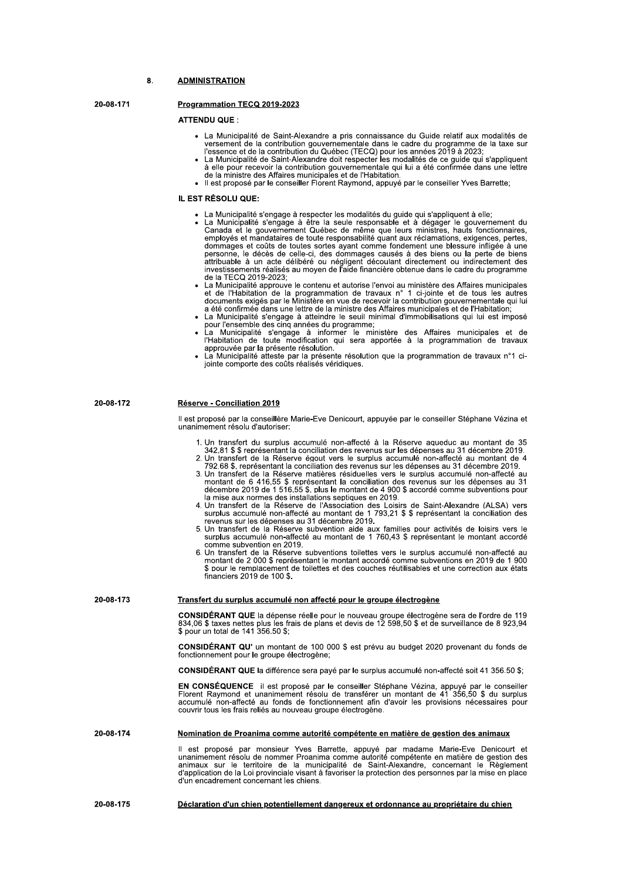### $\mathbf{R}$ **ADMINISTRATION**

20-08-171

## Programmation TECQ 2019-2023

## **ATTENDU QUE :**

- La Municipalité de Saint-Alexandre a pris connaissance du Guide relatif aux modalités de La municipalité de Saint-Alexandre à pris contraitsance du Guide relati aux modalités de<br>l'essence et de la contribution gouvernementale dans le cadre du programme de la taxe sur<br>l'essence et de la contribution du Québec (
- de la ministre des Affaires municipales et de l'Habitation.<br>Il est proposé par le conseiller Florent Raymond, appuyé par le conseiller Yves Barrette;
- 

## IL EST RÉSOLU QUE:

- · La Municipalité s'engage à respecter les modalités du quide qui s'appliquent à elle;
- La Municipalité s'engage à être la seule responsable et à dégager le gouvernement du<br>Canada et le gouvernement Québec de même que leurs ministres, hauts fonctionnaires,<br>employés et mandataires de toute responsabilité quant dommages et coûts de toutes sortes ayant comme fondement une blessure infligée à une personne, le décès de celle-ci, des dommages causés à des biens ou la perte de biens attribuable à un acte délibéré ou négligent découlant directement ou indirectement des investissements réalisés au moyen de l'aide financière obtenue dans le cadre du programme de la TECO 2019-2023:
- de la TECQ 2019-2023;<br>La Municipalité approuve le contenu et autorise l'envoi au ministère des Affaires municipales<br>La Municipalité approuve le contenu et autorise l'envoi au ministère des Affaires municipales<br>La de l'Habi
- La Municipalité s'engage à atteindre le seuil minimal d'immobilisations qui lui est imposé
- La Municipalité s'engage à attention de seul rimminal d'infinition du la distintage de l'Habitation de toute modification qui sera apportée à la programmation de travaux<br>approuvé par la présente résolution.<br>That de l'Habit
- 

20-08-172 Réserve - Conciliation 2019

> Il est proposé par la conseillère Marie-Eve Denicourt, appuyée par le conseiller Stéphane Vézina et unanimement résolu d'autoriser:

- 1. Un transfert du surplus accumulé non-affecté à la Réserve aqueduc au montant de 35 342.81 \$ \$ représentant la conciliation des revenus sur les dépenses au 31 décembre 2019.<br>2. Un transfert de la Réserve éqout vers le surplus accumulé non-affecté au montant de 4
- 
- 792.68 \$, représentant la conciliation des revenus sur les dépenses au 31 décembre 2019. 3. Un transfert de la Réserve matières résiduelles vers le surplus accumulé non-affecté au montant de 6 416,55 \$ représentant la conciliation des revenus sur les dépenses au 31 décembre 2019 de 1 516,55 \$, plus le montant
- decembre 2019 de 1 3 16,35 3, plus le montant de 4 900 3 accorde comme subventions pour<br>la mise aux normes des installations septiques en 2019.<br>4. Un transfert de la Réserve de l'Association des Loisirs de Saint-Alexandre
- 
- comme subvention en 2019.<br>
6. Un transfert de la Réserve subventions toilettes vers le surplus accumulé non-affecté au<br>
montant de 2 000 \$ représentant le montant accordé comme subventions en 2019 de 1 900 \$ pour le remplacement de toilettes et des couches réutilisables et une correction aux états financiers 2019 de 100 \$.

### 20-08-173 Transfert du surplus accumulé non affecté pour le groupe électrogène

**CONSIDÉRANT QUE** la dépense réelle pour le nouveau groupe électrogène sera de l'ordre de 119<br>834,06 \$ taxes nettes plus les frais de plans et devis de 12 598,50 \$ et de surveillance de 8 923,94<br>\$ pour un total de 141 356.

CONSIDÉRANT QU' un montant de 100 000 \$ est prévu au budget 2020 provenant du fonds de fonctionnement pour le groupe électrogène:

CONSIDÉRANT QUE la différence sera payé par le surplus accumulé non-affecté soit 41 356.50 \$;

EN CONSÉQUENCE il est proposé par le conseiller Stéphane Vézina, appuyé par le conseiller<br>Florent Raymond et unanimement résolu de transférer un montant de 41 356,50 \$ du surplus<br>accumulé non-affecté au fonds de fonctionne couvrir tous les frais reliés au nouveau groupe électrogène.

#### 20-08-174 Nomination de Proanima comme autorité compétente en matière de gestion des animaux

Il est proposé par monsieur Yves Barrette, appuyé par madame Marie-Eve Denicourt et unanimement résolu de nommer Proanima comme autorité compétente en matière de gestion des animaux sur le territoire de la municipalité de d'un encadrement concernant les chiens.

20-08-175 Déclaration d'un chien potentiellement dangereux et ordonnance au propriétaire du chien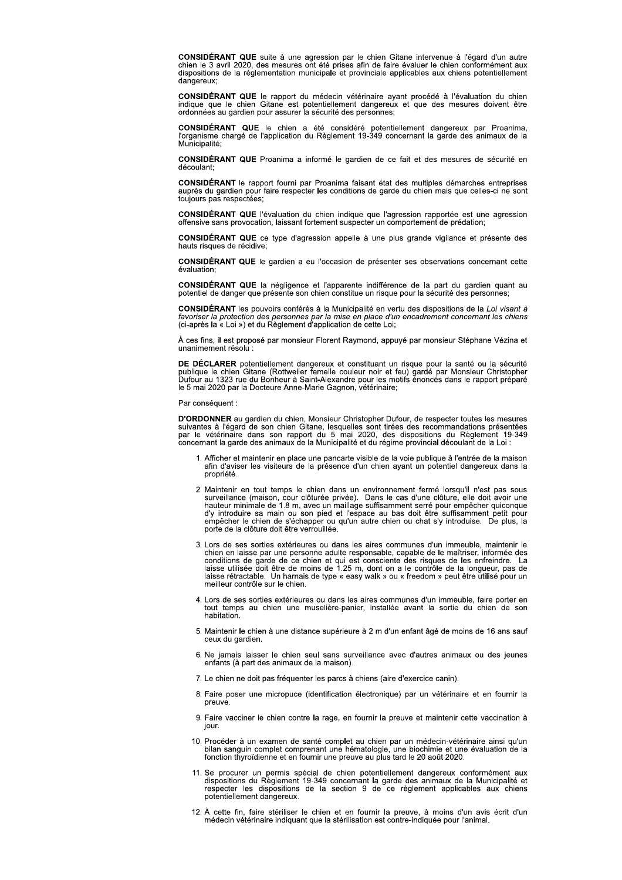CONSIDÉRANT QUE suite à une agression par le chien Gitane intervenue à l'égard d'un autre<br>chien le 3 avril 2020, des mesures ont été prises afin de faire évaluer le chien conformément aux dispositions de la réglementation municipale et provinciale applicables aux chiens potentiellement dangereux:

CONSIDÉRANT QUE le rapport du médecin vétérinaire ayant procédé à l'évaluation du chien indique que le chien Gitane est potentiellement dangereux et que des mesures doivent être ordonnées au gardien pour assurer la sécurité des personnes;

CONSIDÉRANT QUE le chien a été considéré potentiellement dangereux par Proanima,<br>l'organisme chargé de l'application du Règlement 19-349 concernant la garde des animaux de la Municipalité;

CONSIDÉRANT QUE Proanima a informé le gardien de ce fait et des mesures de sécurité en découlant:

CONSIDÉRANT le rapport fourni par Proanima faisant état des multiples démarches entreprises<br>auprès du gardien pour faire respecter les conditions de garde du chien mais que celles-ci ne sont toujours pas respectées;

CONSIDÉRANT QUE l'évaluation du chien indique que l'agression rapportée est une agression offensive sans provocation, laissant fortement suspecter un comportement de prédation;

**CONSIDÉRANT QUE** ce type d'agression appelle à une plus grande vigilance et présente des hauts risques de récidive;

CONSIDÉRANT QUE le gardien a eu l'occasion de présenter ses observations concernant cette

CONSIDÉRANT QUE la négligence et l'apparente indifférence de la part du gardien quant au potentiel de danger que présente son chien constitue un risque pour la sécurité des personnes;

CONSIDÉRANT les pouvoirs conférés à la Municipalité en vertu des dispositions de la Loi visant à Serveriser la protection des personnes par la mise en place d'un encadrement concernant les chiens<br>(ci-après la « Loi ») et du Règlement d'application de cette Loi;<br>(ci-après la « Loi ») et du Règlement d'application de ce

À ces fins, il est proposé par monsieur Florent Raymond, appuyé par monsieur Stéphane Vézina et unanimement résolu

DE DÉCLARER potentiellement dangereux et constituant un risque pour la santé ou la sécurité Publique le chien Gitane (Rottweiler femelle couleur noir et feu) gardé par Monsieur Christopher<br>Dublique le chien Gitane (Rottweiler femelle couleur noir et feu) gardé par Monsieur Christopher<br>Dufour au 1323 rue du Bonheu

Par conséquent :

D'ORDONNER au gardien du chien, Monsieur Christopher Dufour, de respecter toutes les mesures **SUIVANTES à l'égard de son chien Gitane, lesquelles sont tirées des recommandations présentées**<br>par le vétérinaire dans son rapport du 5 mai 2020, des dispositions du Règlement 19-349<br>concernant la garde des animaux de la

- 1. Afficher et maintenir en place une pancarte visible de la voie publique à l'entrée de la maison afin d'aviser les visiteurs de la présence d'un chien ayant un potentiel dangereux dans la propriété.
- 2. Maintenir en tout temps le chien dans un environnement fermé lorsqu'il n'est pas sous surveillance (maison, cour clôturée privée). Dans le cas d'une clôture, elle doit avoir une hauteur minimale de 1.8 m, avec un mailla empêcher le chien de s'échapper ou qu'un autre chien ou chat s'y introduise. De plus, la<br>porte de la clôture doit être verrouillée.
- 3. Lors de ses sorties extérieures ou dans les aires communes d'un immeuble, maintenir le chien en laisse par une personne adulte responsable, capable de le maîtriser, informée des conditions de garde de ce chien et qui es laisse rétractable. Un harnais de type « easy walk » ou « freedom » peut être utilisé pour un<br>meilleur contrôle sur le chien.
- 4. Lors de ses sorties extérieures ou dans les aires communes d'un immeuble, faire porter en tout temps au chien une muselière-panier, installée avant la sortie du chien de son habitation.
- 5. Maintenir le chien à une distance supérieure à 2 m d'un enfant âgé de moins de 16 ans sauf ceux du gardien.
- 6. Ne jamais laisser le chien seul sans surveillance avec d'autres animaux ou des jeunes enfants (à part des animaux de la maison).
- 7. Le chien ne doit pas fréquenter les parcs à chiens (aire d'exercice canin).
- 8. Faire poser une micropuce (identification électronique) par un vétérinaire et en fournir la preuve
- 9. Faire vacciner le chien contre la rage, en fournir la preuve et maintenir cette vaccination à iour.
- 10. Procéder à un examen de santé complet au chien par un médecin-vétérinaire ainsi qu'un bilan sanguin complet comprenant une hématologie, une biochimie et une évaluation de la<br>fonction thyroïdienne et en fournir une preu
- 11. Se procurer un permis spécial de chien potentiellement dangereux conformément aux dispositions du Règlement 19-349 concernant la garde des animaux de la Municipalité et respecter les dispositions de la section 9 de ce potentiellement dangereux.
- 12. À cette fin, faire stériliser le chien et en fournir la preuve, à moins d'un avis écrit d'un médecin vétérinaire indiquant que la stérilisation est contre-indiquée pour l'animal.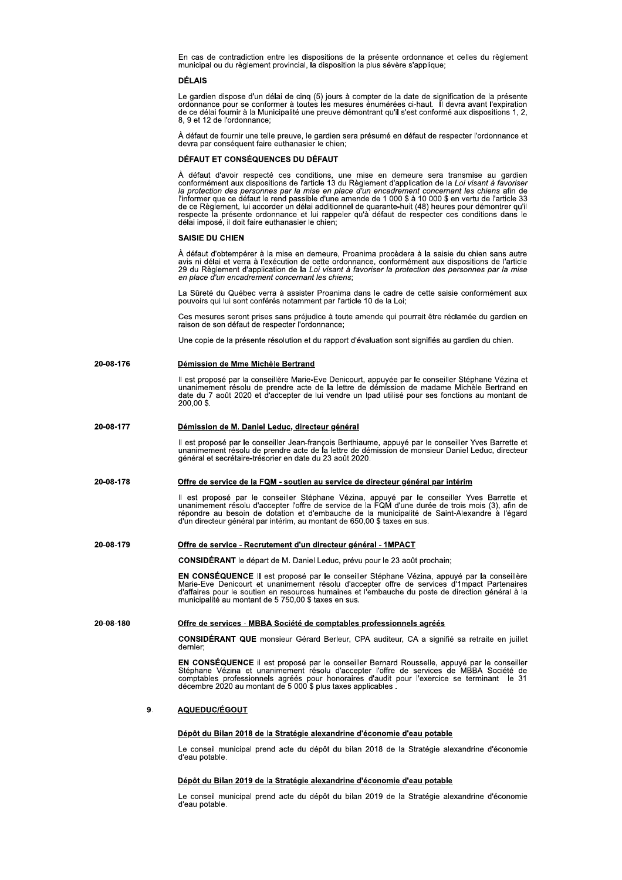En cas de contradiction entre les dispositions de la presente ordonnance et celles du reglement municipai ou du regiement provinciai, la disposition la plus severe s'applique;

## DÉLAIS

Le gardien dispose d'un delai de cinq (5) jours à compter de la date de signification de la presente<br>ordonnance pour se conformer à toutes les mesures énumérées ci-haut. Il devra avant l'expiration s la présente ordonnance et celles du règle<br>
de plus sévère s'applique;<br>
compter de la date de signification de la prés<br>
res énumérées ci-haut. Il devra avant l'expire<br>
montrant qu'il s'est conformé aux dispositions<br>
ca pr ordonnance pour se conformer a toutes les mesures enumerees ci-naut. Il devra avant l'expiration<br>de ce délai fournir à la Municipalité une preuve démontrant qu'il s'est conformé aux dispositions 1, 2, 8, 9 et 12 de l'ordonnance;

A defaut de fournir une teile preuve, le gardien sera presume en defaut de respecter l'ordonnance et<br>devra par conséquent faire euthanasier le chien;

## DÉFAUT ET CONSÉQUENCES DU DÉFAUT

A deraut d'avoir respecte ces conditions, une mise en demeure sera transmise au gardien<br>conformément aux dispositions de l'article 13 du Règlement d'application de la Loi visant à favoriser<br>le protection des personnes par rinformer que ce defaut le rend passible d'une amende de 1 000 \$ a 10 000 \$ en vertu de rafticle 33<br>de ce Règlement, lui accorder un délai additionnel de quarante-huit (48) heures pour démontrer qu'il<br>respecte la présente impose, il doit faire euthanasier le chien;

## SAISIE DU CHIEN

A defaut d'obtemperer à la mise en demeure, Proanima procedera à la saisie du chien sans autre<br>avis ni délai et verra à l'exécution de cette ordonnance, conformément aux dispositions de l'article avis ni delal et verra a l'execution de cette ordonnance, conformement aux dispositions de l'article<br>29 du Règlement d'application de la Loi visant à favoriser la protection des personnes par la mise en place d'un encadrement concernant les chiens;

La Surete du Quebec verra a assister Proanima dans le cadre de cette saisie conformement aux pouvoirs qui iui sont conferes notamment par l'article 10 de la Loi;

Ces mesures seront prises sans prejudice a toute amende qui pourrait etre reclamee du gardien en<br>raison de son défaut de respecter l'ordonnance; aison de son defaut de respecter l'ordonnance;

Une copie de la presente resolution et du rapport d'evaluation sont signifies au gardien du cr

29 du Règlement d'application de la *Loi visant à favoriser la protection des personnes par la mise*<br>en place d'un encadrement concernant les chiens;<br>La Sûreté du Québec verra à assister Proanima dans le cadre de cette sai Il est propose par la conselliere Marie-Eve Denicourt, appuyee par le consellier Stephane Vezina et<br>unanimement résolu de prendre acte de la lettre de démission de madame Michèle Bertrand en<br>date du 7 août 2020 et d'accept 200.00 \$. Consumed the propose is a presente resolution of the conseller of the main immediate the performance of the main immediate du 7 août 2020 of d'accepter de la 200,00 \$.<br>
20-08-177 Démission de M. Daniel Leduc, directed and

il est propose par le conseiller Jean-françois Berthiaume, appuye par le conseiller Yves Barrette e Il est propose par le conseiller Jean-françois Berthiaume, appuye par le conseiller Yves Barrette et<br>unanimement résolu de prendre acte de la lettre de démission de monsieur Daniel Leduc, directeur<br>général et secrétaire-tr

of the muslimement résolu de prendre acte de la lettre de démission de madam<br>
date du 7 août 2020 et d'accepter de lui vendre un lpad utilisé pour ses fo<br>
200,00 \$.<br>
20-08-177<br>
Démission de M. Daniel Leduc, directeur génér II est propose par le consellier Stephane Vezina, appuye par le consellier Yves Barrette et<br>unanimement résolu d'accepter l'offre de service de la municipalité de Saint-Alexandre à l'égard<br>d'un directeur général par intéri directeur general par interim, au montant de 650,00 \$ taxes en si (accepter acte de la lettre de démission de monsieur Daniel Leduc, dir<br>
19 général et secrétaire-trésorier en date du 23 août 2020.<br>
20-08-178<br>
19 Offre de service de la FQM - soutien au service de directeur général par in oposé par le conseiller Stéphane Vézina,<br>ment résolu d'accepter l'offre de service de la u besoin de dotation et d'embauche de<br>cteur général par intérim, au montant de 650,0<br>service - Recrutement d'un directeur géné<br>feRANT

ie depart de M. Daniel Leduc, prevu pour le 23 aout prochain;

EN CONSEQUENCE II est propose par le consellier Stephane Vezina, appuyé par la conselliere<br>Marie-Eve Denicourt et unanimement résolu d'accepter offre de services d'1mpact Partenaires Marie-Eve Denicourt et unanimement resolu d'accepter offre de services d'impact Partenaires<br>d'affaires pour le soutien en resources humaines et l'embauche du poste de direction général à la municipalité au montant de 5 750,00 \$ taxes en st 20-08-179<br>
20-08-179<br>
20-08-179<br>
20 Offre de service - Recrutement d'un directeur général - 1MPACT<br>
CONSIDÉRANT le départ de M. Daniel Leduc, prévu pour le 23 août procl<br>
EN CONSÉQUENCE II est proposé par le conseiller Sté

CONSIDERANT QUE monsieur Gerard Berieur, CPA auditeur, CA a signifie sa retraite en juillet<br>dernier; dernier i.

EN CONSEQUENCE II est propose par le conseiller Bernard Rousselle, appuye par le c **EN CONSEQUENCE** II est propose par le conseiller Bernard Rousselle, appuye par le conseiller<br>Stéphane Vézina et unanimement résolu d'accepter l'offre de services de MBBA Société de<br>comptables professionnels agréés pour ho **20-08-180**<br> **20-08-180**<br> **20-08-180**<br> **20-08-180**<br> **20-08-180**<br> **20-08-180**<br> **20-08-180**<br> **20-08-180**<br> **20-08-180**<br> **20-08-180**<br> **20-08-180**<br> **20-08-180**<br> **20-08-20-08-180**<br> **20-08-180**<br> **20-08-20-20**<br> **20-08-20-08**<br> **20** 

## 9. AQUEDUC/ÉGOUT

Le conseil municipal prend acte du depot du blian 2018 de la Strategie alexandrine d'economie d'eau potable. décembre 2020 au montant de 5 000'\$ plus taxes applicables .<br> **9.**<br> **AQUEDUC/ÉGOUT**<br> **Dépôt du Bilan 2018 de la Stratégie alexandrine d'économie d'eau potable**<br>
Le conseil municipal prend acte du dépôt du bilan 2018 de la **Dépôt du Bilan 2018 de la Stratégie alexandrine d'économie d'eau potable**<br>Le conseil municipal prend acte du dépôt du bilan 2018 de la Stratégie alex<br>d'eau potable.<br>**Dépôt du Bilan 2019 de la Stratégie alexandrine d'écono** 

Le conseil municipal prend acte du depot du blian 2019 de la Strategie alexandrine d'economie<br>d'eau potable.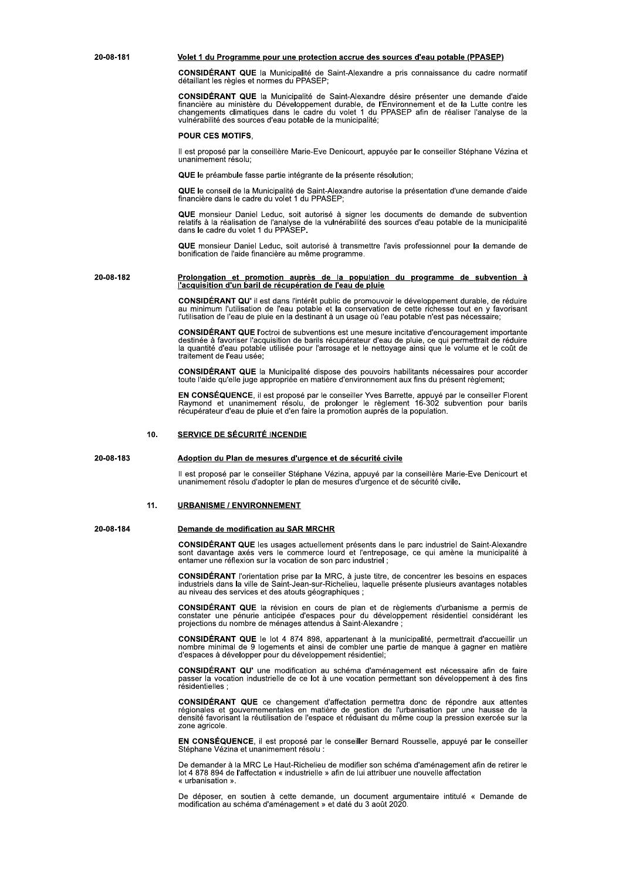## Volet 1 du Programme pour une protection accrue des sources d'eau potable (PPASEP)

CONSIDÉRANT QUE la Municipalité de Saint-Alexandre a pris connaissance du cadre normatif détaillant les règles et normes du PPASEP;

CONSIDÉRANT QUE la Municipalité de Saint-Alexandre désire présenter une demande d'aide financière au ministère du Développement durable, de l'Environnement et de la Lutte contre les<br>changements climatiques dans le cadre du volet 1 du PPASEP afin de réaliser l'analyse de la vulnérabilité des sources d'eau potable de la municipalité;

## **POUR CES MOTIFS.**

Il est proposé par la conseillère Marie-Eve Denicourt, appuyée par le conseiller Stéphane Vézina et unanimement résolu;

QUE le préambule fasse partie intégrante de la présente résolution;

QUE le conseil de la Municipalité de Saint-Alexandre autorise la présentation d'une demande d'aide financière dans le cadre du volet 1 du PPASEP;

QUE monsieur Daniel Leduc, soit autorisé à signer les documents de demande de subvention serve interface to calculate the category of the state of the category of the category of the category data is the distribution of the category data is the category of the category dans le cadre du volet 1 du PPASEP.

QUE monsieur Daniel Leduc, soit autorisé à transmettre l'avis professionnel pour la demande de bonification de l'aide financière au même programme.

## 20-08-182 Prolongation et promotion auprès de la population du programme de subvention à<br>l'acquisition d'un baril de récupération de l'eau de pluie

CONSIDÉRANT QU' il est dans l'intérêt public de promouvoir le développement durable, de réduire au minimum l'utilisation de l'eau potable et la conservation de cette richesse tout en y favorisant l'utilisation de l'eau de

CONSIDÉRANT QUE l'octroi de subventions est une mesure incitative d'encouragement importante destinée à favoriser l'acquisition de barils récupérateur d'eau de pluie, ce qui permettrait de réduire la quantité d'eau potable traitement de l'eau usée:

CONSIDÉRANT QUE la Municipalité dispose des pouvoirs habilitants nécessaires pour accorder<br>toute l'aide qu'elle juge appropriée en matière d'environnement aux fins du présent règlement;

EN CONSÉQUENCE, il est proposé par le conseiller Yves Barrette, appuyé par le conseiller Florent<br>Raymond et unanimement résolu, de prolonger le règlement 16-302 subvention pour barils<br>récupérateur d'eau de pluie et d'en fa

#### $10<sub>1</sub>$ SERVICE DE SÉCURITÉ INCENDIE

#### 20-08-183 Adoption du Plan de mesures d'urgence et de sécurité civile

Il est proposé par le conseiller Stéphane Vézina, appuyé par la conseillère Marie-Eve Denicourt et<br>unanimement résolu d'adopter le plan de mesures d'urgence et de sécurité civile.

#### $11.$ **URBANISME / ENVIRONNEMENT**

20-08-184

20-08-181

## Demande de modification au SAR MRCHR

CONSIDÉRANT QUE les usages actuellement présents dans le parc industriel de Saint-Alexandre sont davantage axés vers le commerce lourd et l'entreposage, ce qui amène la municipalité à entamer une réflexion sur la vocation

CONSIDÉRANT l'orientation prise par la MRC, à juste titre, de concentrer les besoins en espaces<br>industriels dans la ville de Saint-Jean-sur-Richelieu, laquelle présente plusieurs avantages notables au niveau des services et des atouts géographiques ;

CONSIDÉRANT QUE la révision en cours de plan et de règlements d'urbanisme a permis de Constater une pénurie anticipée d'espaces pour du développement résidentiel considérant les<br>projections du nombre de ménages attendus à Saint-Alexandre ;

CONSIDÉRANT QUE le lot 4 874 898, appartenant à la municipalité, permettrait d'accueillir un nombre minimal de 9 logements et ainsi de combler une partie de manque à gagner en matière d'espaces à développer pour du dévelop

CONSIDÉRANT QU' une modification au schéma d'aménagement est nécessaire afin de faire passer la vocation industrielle de ce lot à une vocation permettant son développement à des fins résidentielles ;

CONSIDÉRANT QUE ce changement d'affectation permettra donc de répondre aux attentes régionales et gouvernementales en matière de gestion de l'urbanisation par une hausse de la<br>densité favorisant la réutilisation de l'espace et réduisant du même coup la pression exercée sur la zone agricole.

EN CONSÉQUENCE, il est proposé par le conseiller Bernard Rousselle, appuyé par le conseiller Stéphane Vézina et unanimement résolu :

De demander à la MRC Le Haut-Richelieu de modifier son schéma d'aménagement afin de retirer le<br>lot 4 878 894 de l'affectation « industrielle » afin de lui attribuer une nouvelle affectation « urbanisation ».

De déposer, en soutien à cette demande, un document argumentaire intitulé « Demande de modification au schéma d'aménagement » et daté du 3 août 2020.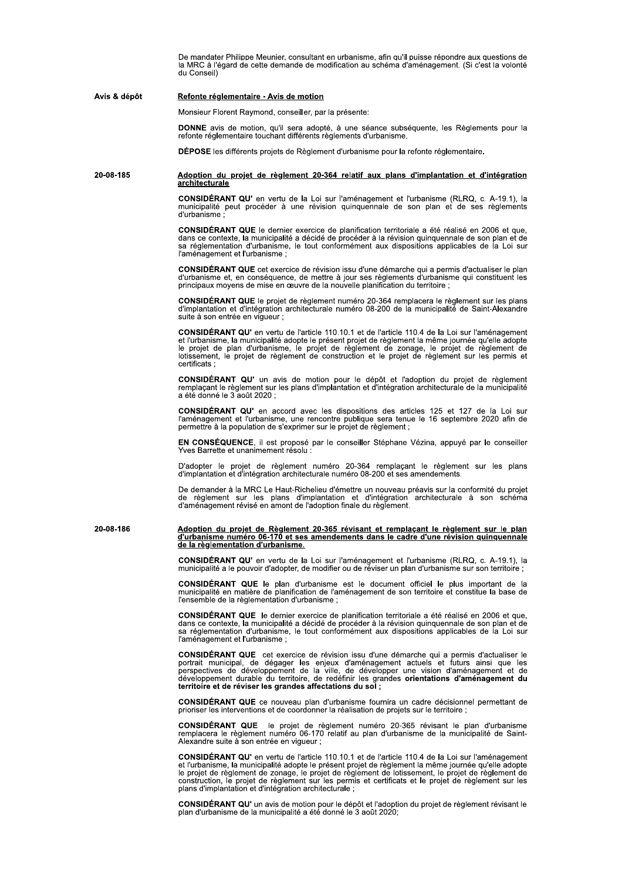De mandater Philippe Meunier, consultant en urbanisme, afin qu'il puisse répondre aux questions de la MRC à l'égard de cette demande de modification au schéma d'aménagement. (Si c'est la volonté du Conseil)

### Avis & dépôt Refonte réglementaire - Avis de motion

Monsieur Florent Raymond, conseiller, par la présente:

DONNE avis de motion, qu'il sera adopté, à une séance subséquente, les Règlements pour la<br>refonte réglementaire touchant différents règlements d'urbanisme.

DÉPOSE les différents projets de Règlement d'urbanisme pour la refonte réglementaire.

### 20-08-185 Adoption du projet de règlement 20-364 relatif aux plans d'implantation et d'intégration architecturale

CONSIDÉRANT QU' en vertu de la Loi sur l'aménagement et l'urbanisme (RLRQ, c. A-19.1), la municipalité peut procéder à une révision quinquennale de son plan et de ses règlements d'urbanisme

CONSIDÉRANT QUE le dernier exercice de planification territoriale a été réalisé en 2006 et que,<br>dans ce contexte, la municipalité a décidé de procéder à la révision quinquennale de son plan et de sa réglementation d'urbanisme, le tout conformément aux dispositions applicables de la Loi sur l'aménagement et l'urbanisme :

CONSIDÉRANT QUE cet exercice de révision issu d'une démarche qui a permis d'actualiser le plan d'urbanisme et, en conséquence, de mettre à jour ses règlements d'urbanisme qui constituent les<br>principaux moyens de mise en œuvre de la nouvelle planification du territoire :

CONSIDÉRANT QUE le projet de règlement numéro 20-364 remplacera le règlement sur les plans<br>d'implantation et d'intégration architecturale numéro 08-200 de la municipalité de Saint-Alexandre suite à son entrée en viqueur :

CONSIDÉRANT QU' en vertu de l'article 110.10.1 et de l'article 110.4 de la Loi sur l'aménagement et l'urbanisme, la municipalité adopte le présent projet de règlement la même journée qu'elle adopte<br>le projet de plan d'urbanisme, le projet de règlement de zonage, le projet de règlement de<br>lotissement, le projet de règl certificats ·

CONSIDÉRANT QU' un avis de motion pour le dépôt et l'adoption du projet de règlement<br>remplaçant le règlement sur les plans d'implantation et d'intégration architecturale de la municipalité a été donné le 3 août 2020 ;

CONSIDÉRANT QU' en accord avec les dispositions des articles 125 et 127 de la Loi sur<br>l'aménagement et l'urbanisme, une rencontre publique sera tenue le 16 septembre 2020 afin de permettre à la population de s'exprimer sur le projet de règlement ;

EN CONSÉQUENCE, il est proposé par le conseiller Stéphane Vézina, appuyé par le conseiller Yves Barrette et unanimement résolu

D'adopter le projet de règlement numéro 20-364 remplaçant le règlement sur les plans<br>d'implantation et d'intégration architecturale numéro 08-200 et ses amendements.

De demander à la MRC Le Haut-Richelieu d'émettre un nouveau préavis sur la conformité du projet de réglement sur les plans d'implantation et d'intégration architecturale à son schéma<br>d'aménagement révisé en amont de l'adoption finale du règlement.

Adoption du projet de Règlement 20-365 révisant et remplaçant le règlement sur le plan<br>d'urbanisme numéro 06-170 et ses amendements dans le cadre d'une révision quinquennale 20-08-186 de la règlementation d'urbanisme.

**CONSIDÉRANT QU'** en vertu de la Loi sur l'aménagement et l'urbanisme (RLRQ, c. A-19.1), la<br>municipalité a le pouvoir d'adopter, de modifier ou de réviser un plan d'urbanisme sur son territoire ;

CONSIDÉRANT QUE le plan d'urbanisme est le document officiel le plus important de la<br>municipalité en matière de planification de l'aménagement de son territoire et constitue la base de l'ensemble de la règlementation d'urbanisme :

CONSIDÉRANT QUE le dernier exercice de planification territoriale a été réalisé en 2006 et que, dans ce contexte, la municipalité a décidé de procéder à la révision quinquennale de son plan et de<br>sa réglementation d'urbanisme, le tout conformément aux dispositions applicables de la Loi sur l'aménagement et l'urbanisme ;

CONSIDÉRANT QUE cet exercice de révision issu d'une démarche qui a permis d'actualiser le portrait municipal, de dégager les enjeux d'aménagement actuels et futurs ainsi que les perspectives de développement de la ville, d territoire et de réviser les grandes affectations du sol ;

CONSIDÉRANT QUE ce nouveau plan d'urbanisme fournira un cadre décisionnel permettant de prioriser les interventions et de coordonner la réalisation de projets sur le territoire ;

CONSIDÉRANT QUE le projet de règlement numéro 20-365 révisant le plan d'urbanisme<br>remplacera le règlement numéro 06-170 relatif au plan d'urbanisme de la municipalité de Saint-Alexandre suite à son entrée en vigueur ;

CONSIDÉRANT QU' en vertu de l'article 110.10.1 et de l'article 110.4 de la Loi sur l'aménagement Se l'urbanisme, la municipalité adopte le présent projet de règlement la même journée qu'elle adopte<br>le projet de règlement de zonage, le projet de règlement de lotissement, le projet de règlement de<br>construction, le proje plans d'implantation et d'intégration architecturale ;

CONSIDÉRANT QU' un avis de motion pour le dépôt et l'adoption du projet de règlement révisant le<br>plan d'urbanisme de la municipalité a été donné le 3 août 2020;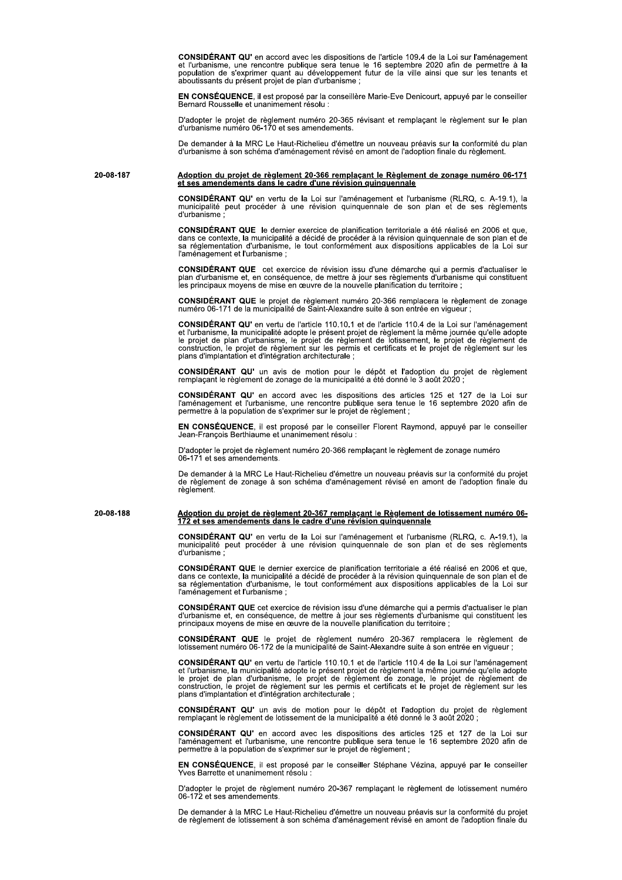CONSIDÉRANT QU' en accord avec les dispositions de l'article 109.4 de la Loi sur l'aménagement et l'urbanisme, une rencontre publique sera tenue le 16 septembre 2020 afin de permettre à la population de s'exprimer quant au aboutissants du présent projet de plan d'urbanisme :

EN CONSÉQUENCE, il est proposé par la conseillère Marie-Eve Denicourt, appuyé par le conseiller Bernard Rousselle et unanimement résolu

D'adopter le projet de règlement numéro 20-365 révisant et remplaçant le règlement sur le plan<br>d'urbanisme numéro 06-170 et ses amendements.

De demander à la MRC Le Haut-Richelieu d'émettre un nouveau préavis sur la conformité du plan d'urbanisme à son schéma d'aménagement révisé en amont de l'adoption finale du règlement.

20-08-187 Adoption du projet de règlement 20-366 remplaçant le Règlement de zonage numéro 06-171 et ses amendements dans le cadre d'une révision quinquennale

CONSIDÉRANT QU' en vertu de la Loi sur l'aménagement et l'urbanisme (RLRQ, c. A-19.1), la municipalité peut procéder à une révision quinquennale de son plan et de ses règlements d'urbanisme ;

CONSIDÉRANT QUE le dernier exercice de planification territoriale a été réalisé en 2006 et que. dans ce contexte, la municipalité a décidé de procéder à la révision quinquennale de son plan et de sa réglementation d'urbanisme, le tout conformément aux dispositions applicables de la Loi sur l'aménagement et l'urbanisme :

CONSIDÉRANT QUE cet exercice de révision issu d'une démarche qui a permis d'actualiser le plan d'urbanisme et, en conséquence, de mettre à jour ses règlements d'urbanisme qui constituent<br>les principaux moyens de mise en œuvre de la nouvelle planification du territoire ;

CONSIDÉRANT QUE le projet de règlement numéro 20-366 remplacera le règlement de zonage numéro 06-171 de la municipalité de Saint-Alexandre suite à son entrée en vigueur ;

**CONSIDÉRANT QU'** en vertu de l'article 110.10.1 et de l'article 110.4 de la Loi sur l'aménagement et l'urbanisme, la municipalité adopte le présent projet de règlement la même journée qu'elle adopte le projet de plan d'ur plans d'implantation et d'intégration architecturale ;

CONSIDÉRANT QU' un avis de motion pour le dépôt et l'adoption du projet de règlement remplaçant le règlement de zonage de la municipalité a été donné le 3 août 2020 ;

CONSIDÉRANT QU' en accord avec les dispositions des articles 125 et 127 de la Loi sur l'aménagement et l'urbanisme, une rencontre publique sera tenue le 16 septembre 2020 afin de permettre à la population de s'exprimer sur le projet de règlement ;

EN CONSÉQUENCE, il est proposé par le conseiller Florent Raymond, appuyé par le conseiller<br>Jean-François Berthiaume et unanimement résolu :

D'adopter le projet de règlement numéro 20-366 remplaçant le règlement de zonage numéro 06-171 et ses amendements

De demander à la MRC Le Haut-Richelieu d'émettre un nouveau préavis sur la conformité du projet<br>de règlement de zonage à son schéma d'aménagement révisé en amont de l'adoption finale du règlement.

20-08-188

Adoption du projet de règlement 20-367 remplaçant le Règlement de lotissement numéro 06-172 et ses amendements dans le cadre d'une révision quinquennale

CONSIDÉRANT QU' en vertu de la Loi sur l'aménagement et l'urbanisme (RLRQ, c. A-19.1), la municipalité peut procéder à une révision quinquennale de son plan et de ses règlements d'urbanisme

CONSIDÉRANT QUE le dernier exercice de planification territoriale a été réalisé en 2006 et que, dans ce contexte, la municipalité a décidé de procéder à la révision quinquennale de son plan et de sa réglementation d'urbani l'aménagement et l'urbanisme :

CONSIDÉRANT QUE cet exercice de révision issu d'une démarche qui a permis d'actualiser le plan d'urbanisme et, en conséquence, de mettre à jour ses règlements d'urbanisme qui constituent les principaux moyens de mise en œuvre de la nouvelle planification du territoire ;

CONSIDÉRANT QUE le projet de règlement numéro 20-367 remplacera le règlement de lotissement numéro 06-172 de la municipalité de Saint-Alexandre suite à son entrée en vigueur ;

CONSIDÉRANT QU' en vertu de l'article 110.10.1 et de l'article 110.4 de la Loi sur l'aménagement et l'urbanisme, la municipalité adopte le présent projet de règlement la même journée qu'elle adopte<br>le projet de plan d'urbanisme, le projet de règlement de zonage, le projet de règlement de<br>construction, le projet de règ plans d'implantation et d'intégration architecturale ;

CONSIDÉRANT QU' un avis de motion pour le dépôt et l'adoption du projet de règlement remplaçant le règlement de lotissement de la municipalité a été donné le 3 août 2020 ;

CONSIDÉRANT QU' en accord avec les dispositions des articles 125 et 127 de la Loi sur l'aménagement et l'urbanisme, une rencontre publique sera tenue le 16 septembre 2020 afin de permettre à la population de s'exprimer sur le projet de règlement ;

EN CONSÉQUENCE, il est proposé par le conseiller Stéphane Vézina, appuyé par le conseiller Yves Barrette et unanimement résolu

D'adopter le projet de règlement numéro 20-367 remplaçant le règlement de lotissement numéro<br>06-172 et ses amendements.

De demander à la MRC Le Haut-Richelieu d'émettre un nouveau préavis sur la conformité du projet de règlement de lotissement à son schéma d'aménagement révisé en amont de l'adoption finale du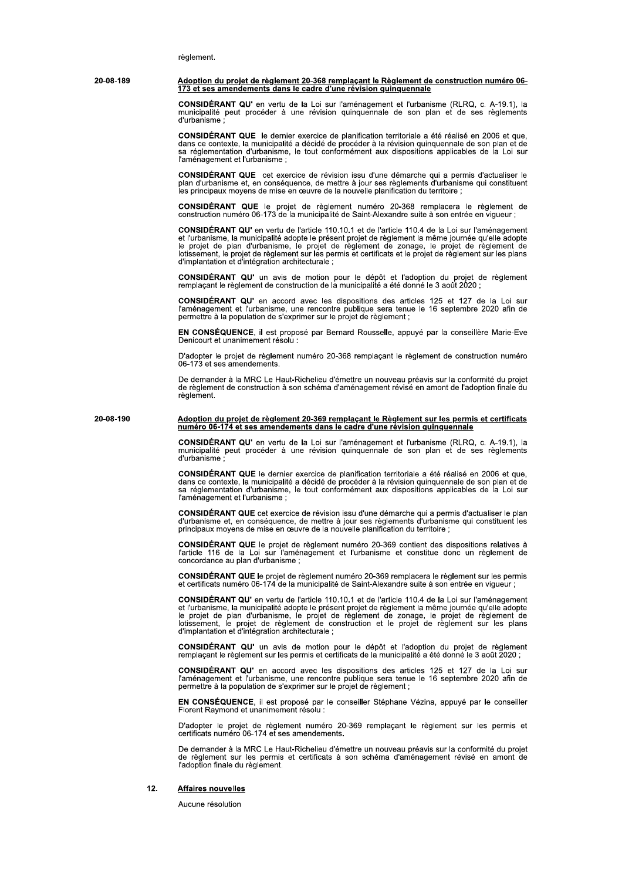règlement.

Adoption du projet de règlement 20-368 remplaçant le Règlement de construction numéro 06-20-08-189 173 et ses amendements dans le cadre d'une révision quinquennale

> CONSIDÉRANT QU' en vertu de la Loi sur l'aménagement et l'urbanisme (RLRQ, c. A-19.1), la municipalité peut procéder à une révision quinquennale de son plan et de ses règlements d'urbanisme

> CONSIDÉRANT QUE le dernier exercice de planification territoriale a été réalisé en 2006 et que. dans ce contexte, la municipalité a décidé de procéder à la révision quinquennale de son plan et de sa réglementation d'urbanisme, le tout conformément aux dispositions applicables de la Loi sur l'aménagement et l'urbanisme :

> CONSIDÉRANT QUE cet exercice de révision issu d'une démarche qui a permis d'actualiser le plan d'urbanisme et, en conséquence, de mettre à jour ses règlements d'urbanisme qui constituent les principaux moyens de mise en œu

CONSIDÉRANT QUE le projet de règlement numéro 20-368 remplacera le règlement de construction numéro 06-173 de la municipalité de Saint-Alexandre suite à son entrée en vigueur ;

**CONSIDÉRANT QU'** en vertu de l'article 110.10.1 et de l'article 110.4 de la Loi sur l'aménagement CONSIDERANT QU'en vertu de l'article 110.10.1 et de l'article 110.4 de la Loi sur l'amenagement<br>et l'urbanisme, la municipalité adopte le présent projet de règlement la même journée qu'elle adopte<br>le projet de plan d'urban

CONSIDÉRANT QU' un avis de motion pour le dépôt et l'adoption du projet de règlement remplaçant le règlement de construction de la municipalité a été donné le 3 août 2020 ;

CONSIDÉRANT QU' en accord avec les dispositions des articles 125 et 127 de la Loi sur<br>l'aménagement et l'urbanisme, une rencontre publique sera tenue le 16 septembre 2020 afin de permettre à la population de s'exprimer sur le projet de règlement ;

EN CONSÉQUENCE, il est proposé par Bernard Rousselle, appuyé par la conseillère Marie-Eve Denicourt et unanimement résolu :

D'adopter le projet de règlement numéro 20-368 remplaçant le règlement de construction numéro<br>06-173 et ses amendements.

De demander à la MRC Le Haut-Richelieu d'émettre un nouveau préavis sur la conformité du projet de réglement de construction à son schéma d'aménagement révisé en amont de l'adoption finale du règlement.

Adoption du projet de règlement 20-369 remplaçant le Règlement sur les permis et certificats<br>numéro 06-174 et ses amendements dans le cadre d'une révision quinquennale 20-08-190

> CONSIDÉRANT QU' en vertu de la Loi sur l'aménagement et l'urbanisme (RLRQ, c. A-19.1), la municipalité peut procéder à une révision quinquennale de son plan et de ses règlements d'urbanisme

> CONSIDÉRANT QUE le dernier exercice de planification territoriale a été réalisé en 2006 et que, dans ce contexte, la municipalité a décidé de procéder à la révision quinquennale de son plan et de sa réglementation d'urbani l'aménagement et l'urbanisme :

> CONSIDÉRANT QUE cet exercice de révision issu d'une démarche qui a permis d'actualiser le plan d'urbanisme et, en conséquence, de mettre à jour ses règlements d'urbanisme qui constituent les<br>principaux moyens de mise en œuvre de la nouvelle planification du territoire ;

> CONSIDÉRANT QUE le projet de règlement numéro 20-369 contient des dispositions relatives à l'article 116 de la Loi sur l'aménagement et l'urbanisme et constitue donc un règlement de concordance au plan d'urbanisme ;

CONSIDÉRANT QUE le projet de règlement numéro 20-369 remplacera le règlement sur les permis<br>et certificats numéro 06-174 de la municipalité de Saint-Alexandre suite à son entrée en vigueur ;

CONSIDÉRANT QU' en vertu de l'article 110.10.1 et de l'article 110.4 de la Loi sur l'aménagement CONSIDERANT QU'en vertu de l'article 110.10.1 et de l'article 110.4 de la Loi sur l'amenagement<br>et l'urbanisme, la municipalité adopte le présent projet de règlement la même journée qu'elle adopte<br>le projet de plan d'urban

CONSIDÉRANT QU' un avis de motion pour le dépôt et l'adoption du projet de règlement remplaçant le règlement sur les permis et certificats de la municipalité a été donné le 3 août 2020 ;

CONSIDÉRANT QU' en accord avec les dispositions des articles 125 et 127 de la Loi sur<br>l'aménagement et l'urbanisme, une rencontre publique sera tenue le 16 septembre 2020 afin de permettre à la population de s'exprimer sur le projet de règlement ;

EN CONSÉQUENCE, il est proposé par le conseiller Stéphane Vézina, appuyé par le conseiller Florent Raymond et unanimement résolu :

D'adopter le projet de règlement numéro 20-369 remplaçant le règlement sur les permis et certificats numéro 06-174 et ses amendements.

De demander à la MRC Le Haut-Richelieu d'émettre un nouveau préavis sur la conformité du projet de règlement sur les permis et certificats à son schéma d'aménagement révisé en amont de l'adoption finale du règlement.

 $12.$ **Affaires nouvelles** 

Aucune résolution